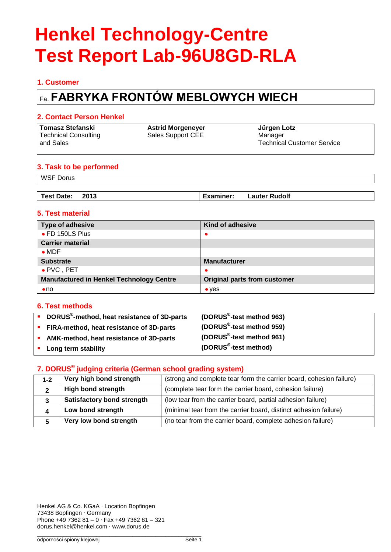# **1. Customer**

# Fa. **FABRYKA FRONTÓW MEBLOWYCH WIECH**

### **2. Contact Person Henkel**

| Tomasz Stefanski     | <b>Astrid Morgeneyer</b> | Jürgen Lotz                       |
|----------------------|--------------------------|-----------------------------------|
| Technical Consulting | Sales Support CEE        | Manager                           |
| and Sales            |                          | <b>Technical Customer Service</b> |

### **3. Task to be performed**

WSF Dorus

| −ote:ل<br>. AC'<br>. . | 2013<br>____ | чшег<br>the contract of the contract of the contract of the contract of the contract of the contract of the contract of | <b>Rudolf</b><br>auter |
|------------------------|--------------|-------------------------------------------------------------------------------------------------------------------------|------------------------|
|                        |              |                                                                                                                         |                        |

# **5. Test material**

| Type of adhesive                                | Kind of adhesive                    |
|-------------------------------------------------|-------------------------------------|
| • FD 150LS Plus                                 |                                     |
| <b>Carrier material</b>                         |                                     |
| $\bullet$ MDF                                   |                                     |
| <b>Substrate</b>                                | <b>Manufacturer</b>                 |
| $\bullet$ PVC, PET                              | ٠                                   |
| <b>Manufactured in Henkel Technology Centre</b> | <b>Original parts from customer</b> |
| $\bullet$ no                                    | $\bullet$ yes                       |

### **6. Test methods**

| DORUS <sup>®</sup> -method, heat resistance of 3D-parts | (DORUS <sup>®</sup> -test method 963) |
|---------------------------------------------------------|---------------------------------------|
| • FIRA-method, heat resistance of 3D-parts              | (DORUS <sup>®</sup> -test method 959) |
| • AMK-method, heat resistance of 3D-parts               | (DORUS <sup>®</sup> -test method 961) |
| • Long term stability                                   | (DORUS <sup>®</sup> -test method)     |

### **7. DORUS® judging criteria (German school grading system)**

| $1 - 2$ | Very high bond strength           | (strong and complete tear form the carrier board, cohesion failure) |
|---------|-----------------------------------|---------------------------------------------------------------------|
|         | <b>High bond strength</b>         | (complete tear form the carrier board, cohesion failure)            |
|         | <b>Satisfactory bond strength</b> | (low tear from the carrier board, partial adhesion failure)         |
|         | Low bond strength                 | (minimal tear from the carrier board, distinct adhesion failure)    |
|         | Very low bond strength            | (no tear from the carrier board, complete adhesion failure)         |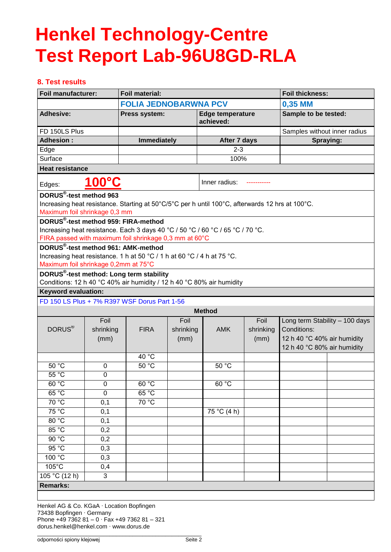# **8. Test results**

| <b>Foil manufacturer:</b>            |                | <b>Foil material:</b>                                                                                                              |           |                                      | <b>Foil thickness:</b> |                                |           |
|--------------------------------------|----------------|------------------------------------------------------------------------------------------------------------------------------------|-----------|--------------------------------------|------------------------|--------------------------------|-----------|
|                                      |                | <b>FOLIA JEDNOBARWNA PCV</b>                                                                                                       |           |                                      | 0,35 MM                |                                |           |
| <b>Adhesive:</b>                     |                | Press system:                                                                                                                      |           | <b>Edge temperature</b><br>achieved: |                        | Sample to be tested:           |           |
| FD 150LS Plus                        |                |                                                                                                                                    |           |                                      |                        | Samples without inner radius   |           |
| <b>Adhesion:</b>                     |                | <b>Immediately</b>                                                                                                                 |           | After 7 days                         |                        |                                | Spraying: |
| Edge                                 |                |                                                                                                                                    |           | $2 - 3$                              |                        |                                |           |
| Surface                              |                |                                                                                                                                    |           | 100%                                 |                        |                                |           |
| <b>Heat resistance</b>               |                |                                                                                                                                    |           |                                      |                        |                                |           |
| 100°C<br>Inner radius:<br>Edges:     |                |                                                                                                                                    |           |                                      |                        |                                |           |
| DORUS <sup>®</sup> -test method 963  |                |                                                                                                                                    |           |                                      |                        |                                |           |
|                                      |                | Increasing heat resistance. Starting at 50°C/5°C per h until 100°C, afterwards 12 hrs at 100°C.                                    |           |                                      |                        |                                |           |
| Maximum foil shrinkage 0,3 mm        |                |                                                                                                                                    |           |                                      |                        |                                |           |
|                                      |                | DORUS <sup>®</sup> -test method 959: FIRA-method<br>Increasing heat resistance. Each 3 days 40 °C / 50 °C / 60 °C / 65 °C / 70 °C. |           |                                      |                        |                                |           |
|                                      |                | FIRA passed with maximum foil shrinkage 0,3 mm at 60°C                                                                             |           |                                      |                        |                                |           |
|                                      |                | DORUS®-test method 961: AMK-method                                                                                                 |           |                                      |                        |                                |           |
|                                      |                | Increasing heat resistance. 1 h at 50 °C / 1 h at 60 °C / 4 h at 75 °C.                                                            |           |                                      |                        |                                |           |
| Maximum foil shrinkage 0,2mm at 75°C |                |                                                                                                                                    |           |                                      |                        |                                |           |
|                                      |                | DORUS <sup>®</sup> -test method: Long term stability                                                                               |           |                                      |                        |                                |           |
|                                      |                | Conditions: 12 h 40 °C 40% air humidity / 12 h 40 °C 80% air humidity                                                              |           |                                      |                        |                                |           |
| <b>Keyword evaluation:</b>           |                |                                                                                                                                    |           |                                      |                        |                                |           |
|                                      |                | FD 150 LS Plus + 7% R397 WSF Dorus Part 1-56                                                                                       |           |                                      |                        |                                |           |
|                                      |                |                                                                                                                                    |           | <b>Method</b>                        |                        |                                |           |
|                                      | Foil           |                                                                                                                                    | Foil      |                                      | Foil                   | Long term Stability - 100 days |           |
| DORUS <sup>®</sup>                   | shrinking      | <b>FIRA</b>                                                                                                                        | shrinking | <b>AMK</b>                           | shrinking              | Conditions:                    |           |
|                                      | (mm)           |                                                                                                                                    | (mm)      |                                      | (mm)                   | 12 h 40 °C 40% air humidity    |           |
|                                      |                | 40 °C                                                                                                                              |           |                                      |                        | 12 h 40 °C 80% air humidity    |           |
| 50 °C                                | 0              | $50^{\circ}$ C                                                                                                                     |           | 50 °C                                |                        |                                |           |
| 55 °C                                | $\overline{0}$ |                                                                                                                                    |           |                                      |                        |                                |           |
| 60 °C                                | 0              | 60 °C                                                                                                                              |           | 60 °C                                |                        |                                |           |
| 65 °C                                | $\overline{0}$ | 65 °C                                                                                                                              |           |                                      |                        |                                |           |
| $70\overline{°C}$                    | 0,1            | 70 °C                                                                                                                              |           |                                      |                        |                                |           |
| 75 °C                                | 0,1            |                                                                                                                                    |           | 75 °C (4 h)                          |                        |                                |           |
| 80 °C                                | 0,1            |                                                                                                                                    |           |                                      |                        |                                |           |
| 85 °C                                | 0,2            |                                                                                                                                    |           |                                      |                        |                                |           |
| 90 °C                                | 0,2            |                                                                                                                                    |           |                                      |                        |                                |           |
| 95 °C                                | 0,3            |                                                                                                                                    |           |                                      |                        |                                |           |
| 100 °C                               | 0,3            |                                                                                                                                    |           |                                      |                        |                                |           |
| $105^{\circ}$ C                      | 0,4            |                                                                                                                                    |           |                                      |                        |                                |           |
| 105 °C (12 h)                        | 3              |                                                                                                                                    |           |                                      |                        |                                |           |
| <b>Remarks:</b>                      |                |                                                                                                                                    |           |                                      |                        |                                |           |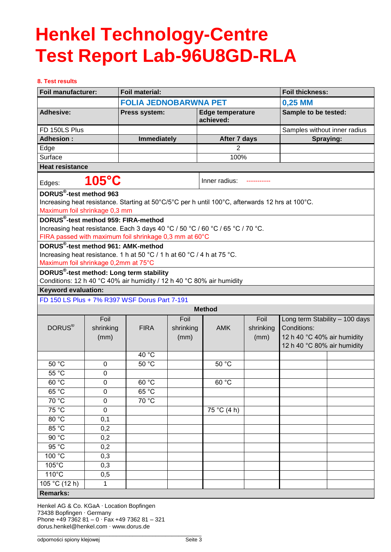#### **8. Test results**

| <b>Foil manufacturer:</b>            |                 | <b>Foil material:</b>                                                                           |           |                                      |           | <b>Foil thickness:</b>         |           |
|--------------------------------------|-----------------|-------------------------------------------------------------------------------------------------|-----------|--------------------------------------|-----------|--------------------------------|-----------|
|                                      |                 | <b>FOLIA JEDNOBARWNA PET</b>                                                                    |           |                                      |           | 0,25 MM                        |           |
| <b>Adhesive:</b>                     |                 | Press system:                                                                                   |           | <b>Edge temperature</b><br>achieved: |           | Sample to be tested:           |           |
| FD 150LS Plus                        |                 |                                                                                                 |           |                                      |           | Samples without inner radius   |           |
| <b>Adhesion:</b>                     |                 | <b>Immediately</b>                                                                              |           | After 7 days                         |           |                                | Spraying: |
| Edge                                 |                 |                                                                                                 |           | $\overline{2}$                       |           |                                |           |
| Surface                              |                 |                                                                                                 |           | 100%                                 |           |                                |           |
| <b>Heat resistance</b>               |                 |                                                                                                 |           |                                      |           |                                |           |
| Edges:                               | $105^{\circ}$ C |                                                                                                 |           | Inner radius:                        |           |                                |           |
| DORUS <sup>®</sup> -test method 963  |                 |                                                                                                 |           |                                      |           |                                |           |
|                                      |                 | Increasing heat resistance. Starting at 50°C/5°C per h until 100°C, afterwards 12 hrs at 100°C. |           |                                      |           |                                |           |
| Maximum foil shrinkage 0,3 mm        |                 |                                                                                                 |           |                                      |           |                                |           |
|                                      |                 | DORUS®-test method 959: FIRA-method                                                             |           |                                      |           |                                |           |
|                                      |                 | Increasing heat resistance. Each 3 days 40 °C / 50 °C / 60 °C / 65 °C / 70 °C.                  |           |                                      |           |                                |           |
|                                      |                 | FIRA passed with maximum foil shrinkage 0,3 mm at 60°C                                          |           |                                      |           |                                |           |
|                                      |                 | DORUS <sup>®</sup> -test method 961: AMK-method                                                 |           |                                      |           |                                |           |
| Maximum foil shrinkage 0,2mm at 75°C |                 | Increasing heat resistance. 1 h at 50 °C / 1 h at 60 °C / 4 h at 75 °C.                         |           |                                      |           |                                |           |
|                                      |                 | DORUS <sup>®</sup> -test method: Long term stability                                            |           |                                      |           |                                |           |
|                                      |                 | Conditions: 12 h 40 °C 40% air humidity / 12 h 40 °C 80% air humidity                           |           |                                      |           |                                |           |
| <b>Keyword evaluation:</b>           |                 |                                                                                                 |           |                                      |           |                                |           |
|                                      |                 | FD 150 LS Plus + 7% R397 WSF Dorus Part 7-191                                                   |           |                                      |           |                                |           |
|                                      |                 |                                                                                                 |           | <b>Method</b>                        |           |                                |           |
|                                      | Foil            |                                                                                                 | Foil      |                                      | Foil      | Long term Stability - 100 days |           |
| DORUS <sup>®</sup>                   | shrinking       | <b>FIRA</b>                                                                                     | shrinking | <b>AMK</b>                           | shrinking | Conditions:                    |           |
|                                      | (mm)            |                                                                                                 | (mm)      |                                      | (mm)      | 12 h 40 °C 40% air humidity    |           |
|                                      |                 |                                                                                                 |           |                                      |           | 12 h 40 °C 80% air humidity    |           |
|                                      |                 | 40 °C                                                                                           |           |                                      |           |                                |           |
| 50 °C                                | $\mathbf 0$     | 50 °C                                                                                           |           | 50 °C                                |           |                                |           |
| $55^{\circ}$ C                       | 0               |                                                                                                 |           |                                      |           |                                |           |
| 60 °C                                | 0               | 60 °C                                                                                           |           | 60 °C                                |           |                                |           |
| 65 °C                                | 0               | 65 °C                                                                                           |           |                                      |           |                                |           |
| 70 °C                                | $\pmb{0}$       | 70 °C                                                                                           |           |                                      |           |                                |           |
| 75 °C                                | $\pmb{0}$       |                                                                                                 |           | 75 °C (4 h)                          |           |                                |           |
| 80 °C                                | 0,1             |                                                                                                 |           |                                      |           |                                |           |
| $85\overline{^{\circ}C}$             | 0,2             |                                                                                                 |           |                                      |           |                                |           |
| 90 °C                                | 0,2             |                                                                                                 |           |                                      |           |                                |           |
| 95 °C                                | 0,2             |                                                                                                 |           |                                      |           |                                |           |
| 100 °C                               | 0,3             |                                                                                                 |           |                                      |           |                                |           |
| $105^{\circ}$ C                      | 0,3             |                                                                                                 |           |                                      |           |                                |           |
| $110^{\circ}$ C                      | 0,5             |                                                                                                 |           |                                      |           |                                |           |
| 105 °C $(12 h)$                      | 1               |                                                                                                 |           |                                      |           |                                |           |
| <b>Remarks:</b>                      |                 |                                                                                                 |           |                                      |           |                                |           |

Henkel AG & Co. KGaA · Location Bopfingen 73438 Bopfingen · Germany Phone +49 7362 81 – 0 · Fax +49 7362 81 – 321 dorus.henkel@henkel.com · www.dorus.de \_\_\_\_\_\_\_\_\_\_\_\_\_\_\_\_\_\_\_\_\_\_\_\_\_\_\_\_\_\_\_\_\_\_\_\_\_\_\_\_\_\_\_\_\_\_\_\_\_\_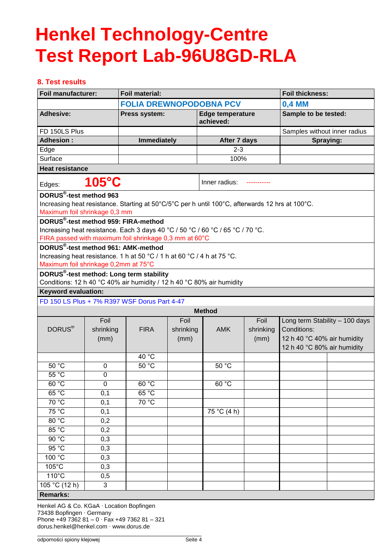# **8. Test results**

|                                            | <b>Foil material:</b><br>Foil manufacturer: |                                                                                                 |           | <b>Foil thickness:</b>               |           |                                |           |
|--------------------------------------------|---------------------------------------------|-------------------------------------------------------------------------------------------------|-----------|--------------------------------------|-----------|--------------------------------|-----------|
|                                            |                                             | <b>FOLIA DREWNOPODOBNA PCV</b>                                                                  |           | 0,4 MM                               |           |                                |           |
| <b>Adhesive:</b>                           |                                             | Press system:                                                                                   |           | <b>Edge temperature</b><br>achieved: |           | Sample to be tested:           |           |
| FD 150LS Plus                              |                                             |                                                                                                 |           |                                      |           | Samples without inner radius   |           |
| <b>Adhesion:</b>                           |                                             | <b>Immediately</b>                                                                              |           | After 7 days                         |           |                                | Spraying: |
| Edge                                       |                                             |                                                                                                 |           | $2 - 3$                              |           |                                |           |
| Surface                                    |                                             |                                                                                                 |           | 100%                                 |           |                                |           |
|                                            | <b>Heat resistance</b>                      |                                                                                                 |           |                                      |           |                                |           |
| $105^{\circ}$ C<br>Inner radius:<br>Edges: |                                             |                                                                                                 |           |                                      |           |                                |           |
| DORUS <sup>®</sup> -test method 963        |                                             |                                                                                                 |           |                                      |           |                                |           |
|                                            |                                             | Increasing heat resistance. Starting at 50°C/5°C per h until 100°C, afterwards 12 hrs at 100°C. |           |                                      |           |                                |           |
| Maximum foil shrinkage 0,3 mm              |                                             |                                                                                                 |           |                                      |           |                                |           |
|                                            |                                             | DORUS <sup>®</sup> -test method 959: FIRA-method                                                |           |                                      |           |                                |           |
|                                            |                                             | Increasing heat resistance. Each 3 days 40 °C / 50 °C / 60 °C / 65 °C / 70 °C.                  |           |                                      |           |                                |           |
|                                            |                                             | FIRA passed with maximum foil shrinkage 0,3 mm at 60°C<br>DORUS®-test method 961: AMK-method    |           |                                      |           |                                |           |
|                                            |                                             | Increasing heat resistance. 1 h at 50 °C / 1 h at 60 °C / 4 h at 75 °C.                         |           |                                      |           |                                |           |
| Maximum foil shrinkage 0,2mm at 75°C       |                                             |                                                                                                 |           |                                      |           |                                |           |
|                                            |                                             | DORUS <sup>®</sup> -test method: Long term stability                                            |           |                                      |           |                                |           |
|                                            |                                             | Conditions: 12 h 40 °C 40% air humidity / 12 h 40 °C 80% air humidity                           |           |                                      |           |                                |           |
| <b>Keyword evaluation:</b>                 |                                             |                                                                                                 |           |                                      |           |                                |           |
|                                            |                                             | FD 150 LS Plus + 7% R397 WSF Dorus Part 4-47                                                    |           |                                      |           |                                |           |
|                                            |                                             |                                                                                                 |           | <b>Method</b>                        |           |                                |           |
|                                            | Foil                                        |                                                                                                 | Foil      |                                      | Foil      | Long term Stability - 100 days |           |
| DORUS <sup>®</sup>                         | shrinking                                   | <b>FIRA</b>                                                                                     | shrinking | <b>AMK</b>                           | shrinking | Conditions:                    |           |
|                                            | (mm)                                        |                                                                                                 | (mm)      |                                      | (mm)      | 12 h 40 °C 40% air humidity    |           |
|                                            |                                             |                                                                                                 |           |                                      |           | 12 h 40 °C 80% air humidity    |           |
|                                            |                                             | 40 °C                                                                                           |           |                                      |           |                                |           |
| 50 °C                                      | $\mathbf 0$                                 | 50 °C                                                                                           |           | 50 °C                                |           |                                |           |
| 55 °C                                      | $\mathbf 0$                                 |                                                                                                 |           |                                      |           |                                |           |
| 60 °C                                      | 0                                           | 60 °C                                                                                           |           | 60 °C                                |           |                                |           |
| 65 °C                                      | 0,1                                         | 65 °C                                                                                           |           |                                      |           |                                |           |
| 70 °C                                      | 0,1                                         | 70 °C                                                                                           |           |                                      |           |                                |           |
| 75 °C                                      | 0,1                                         |                                                                                                 |           | 75 °C (4 h)                          |           |                                |           |
| 80 °C                                      | 0,2                                         |                                                                                                 |           |                                      |           |                                |           |
| 85 °C                                      | 0,2                                         |                                                                                                 |           |                                      |           |                                |           |
| 90 °C                                      | 0,3                                         |                                                                                                 |           |                                      |           |                                |           |
| 95 °C                                      | 0,3                                         |                                                                                                 |           |                                      |           |                                |           |
| 100 °C                                     | 0,3                                         |                                                                                                 |           |                                      |           |                                |           |
| $105^{\circ}$ C<br>$110^{\circ}$ C         | 0,3                                         |                                                                                                 |           |                                      |           |                                |           |
|                                            | 0,5<br>$\overline{3}$                       |                                                                                                 |           |                                      |           |                                |           |
| 105 °C (12 h)                              |                                             |                                                                                                 |           |                                      |           |                                |           |
| <b>Remarks:</b>                            |                                             |                                                                                                 |           |                                      |           |                                |           |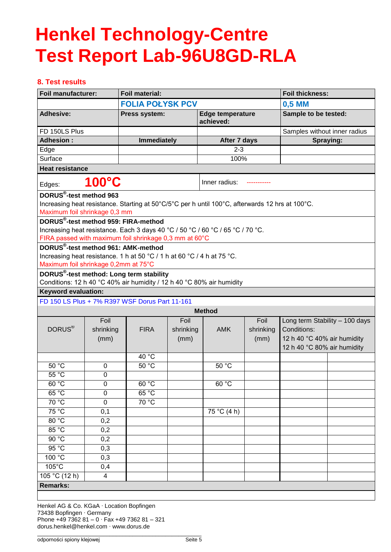# **8. Test results**

| <b>Foil manufacturer:</b>            |           | <b>Foil material:</b>                                                                                                                    |           |                                      | <b>Foil thickness:</b> |                                |           |
|--------------------------------------|-----------|------------------------------------------------------------------------------------------------------------------------------------------|-----------|--------------------------------------|------------------------|--------------------------------|-----------|
|                                      |           | <b>FOLIA POLYSK PCV</b>                                                                                                                  |           | 0,5 MM                               |                        |                                |           |
| <b>Adhesive:</b>                     |           | Press system:                                                                                                                            |           | <b>Edge temperature</b><br>achieved: |                        | Sample to be tested:           |           |
| FD 150LS Plus                        |           |                                                                                                                                          |           |                                      |                        | Samples without inner radius   |           |
| <b>Adhesion:</b>                     |           | <b>Immediately</b>                                                                                                                       |           | After 7 days                         |                        |                                | Spraying: |
| Edge                                 |           |                                                                                                                                          |           | $2 - 3$                              |                        |                                |           |
| Surface                              |           |                                                                                                                                          |           | 100%                                 |                        |                                |           |
| <b>Heat resistance</b>               |           |                                                                                                                                          |           |                                      |                        |                                |           |
| Edges:                               | 100°C     |                                                                                                                                          |           | Inner radius:                        |                        |                                |           |
| DORUS <sup>®</sup> -test method 963  |           |                                                                                                                                          |           |                                      |                        |                                |           |
|                                      |           | Increasing heat resistance. Starting at 50°C/5°C per h until 100°C, afterwards 12 hrs at 100°C.                                          |           |                                      |                        |                                |           |
| Maximum foil shrinkage 0,3 mm        |           |                                                                                                                                          |           |                                      |                        |                                |           |
|                                      |           | DORUS <sup>®</sup> -test method 959: FIRA-method                                                                                         |           |                                      |                        |                                |           |
|                                      |           | Increasing heat resistance. Each 3 days 40 °C / 50 °C / 60 °C / 65 °C / 70 °C.<br>FIRA passed with maximum foil shrinkage 0,3 mm at 60°C |           |                                      |                        |                                |           |
|                                      |           | DORUS®-test method 961: AMK-method                                                                                                       |           |                                      |                        |                                |           |
|                                      |           | Increasing heat resistance. 1 h at 50 °C / 1 h at 60 °C / 4 h at 75 °C.                                                                  |           |                                      |                        |                                |           |
| Maximum foil shrinkage 0,2mm at 75°C |           |                                                                                                                                          |           |                                      |                        |                                |           |
|                                      |           | DORUS <sup>®</sup> -test method: Long term stability                                                                                     |           |                                      |                        |                                |           |
|                                      |           | Conditions: 12 h 40 °C 40% air humidity / 12 h 40 °C 80% air humidity                                                                    |           |                                      |                        |                                |           |
| <b>Keyword evaluation:</b>           |           |                                                                                                                                          |           |                                      |                        |                                |           |
|                                      |           | FD 150 LS Plus + 7% R397 WSF Dorus Part 11-161                                                                                           |           |                                      |                        |                                |           |
|                                      |           |                                                                                                                                          |           | <b>Method</b>                        |                        |                                |           |
|                                      | Foil      |                                                                                                                                          | Foil      |                                      | Foil                   | Long term Stability - 100 days |           |
| DORUS <sup>®</sup>                   | shrinking | <b>FIRA</b>                                                                                                                              | shrinking | <b>AMK</b>                           | shrinking              | Conditions:                    |           |
|                                      | (mm)      |                                                                                                                                          | (mm)      |                                      | (mm)                   | 12 h 40 °C 40% air humidity    |           |
|                                      |           | 40 °C                                                                                                                                    |           |                                      |                        | 12 h 40 °C 80% air humidity    |           |
| 50 °C                                | 0         | $50^{\circ}$ C                                                                                                                           |           | 50 °C                                |                        |                                |           |
| 55 °C                                | 0         |                                                                                                                                          |           |                                      |                        |                                |           |
| 60 °C                                | 0         | 60 °C                                                                                                                                    |           | 60 °C                                |                        |                                |           |
| 65 °C                                | 0         | 65 °C                                                                                                                                    |           |                                      |                        |                                |           |
| $70^{\circ}$ C                       | 0         | 70 °C                                                                                                                                    |           |                                      |                        |                                |           |
| 75 °C                                | 0,1       |                                                                                                                                          |           | 75 °C (4 h)                          |                        |                                |           |
| 80 °C                                | 0,2       |                                                                                                                                          |           |                                      |                        |                                |           |
| 85 °C                                | 0,2       |                                                                                                                                          |           |                                      |                        |                                |           |
| 90 °C                                | 0,2       |                                                                                                                                          |           |                                      |                        |                                |           |
| 95 °C                                | 0,3       |                                                                                                                                          |           |                                      |                        |                                |           |
| $100^{\circ}$ C                      | 0,3       |                                                                                                                                          |           |                                      |                        |                                |           |
| $105^{\circ}$ C                      | 0,4       |                                                                                                                                          |           |                                      |                        |                                |           |
| 105 °C (12 h)                        | 4         |                                                                                                                                          |           |                                      |                        |                                |           |
| <b>Remarks:</b>                      |           |                                                                                                                                          |           |                                      |                        |                                |           |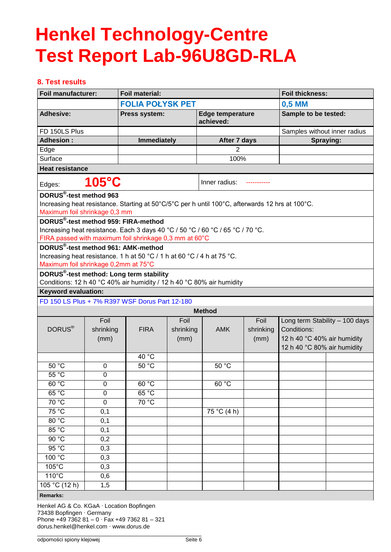# **8. Test results**

|                                                               | <b>Foil material:</b><br>Foil manufacturer: |                                                                                                                                          |           | <b>Foil thickness:</b>               |           |                                |           |
|---------------------------------------------------------------|---------------------------------------------|------------------------------------------------------------------------------------------------------------------------------------------|-----------|--------------------------------------|-----------|--------------------------------|-----------|
|                                                               | <b>FOLIA POŁYSK PET</b>                     |                                                                                                                                          | 0,5 MM    |                                      |           |                                |           |
| <b>Adhesive:</b>                                              |                                             | Press system:                                                                                                                            |           | <b>Edge temperature</b><br>achieved: |           | Sample to be tested:           |           |
| FD 150LS Plus                                                 |                                             |                                                                                                                                          |           |                                      |           | Samples without inner radius   |           |
| <b>Adhesion:</b>                                              |                                             | <b>Immediately</b>                                                                                                                       |           | After 7 days                         |           |                                | Spraying: |
| Edge                                                          |                                             |                                                                                                                                          |           | 2                                    |           |                                |           |
| Surface                                                       |                                             |                                                                                                                                          |           | 100%                                 |           |                                |           |
| <b>Heat resistance</b>                                        |                                             |                                                                                                                                          |           |                                      |           |                                |           |
| Edges:                                                        | 105°C                                       |                                                                                                                                          |           | Inner radius:                        |           |                                |           |
| DORUS®-test method 963                                        |                                             |                                                                                                                                          |           |                                      |           |                                |           |
|                                                               |                                             | Increasing heat resistance. Starting at 50°C/5°C per h until 100°C, afterwards 12 hrs at 100°C.                                          |           |                                      |           |                                |           |
| Maximum foil shrinkage 0,3 mm                                 |                                             |                                                                                                                                          |           |                                      |           |                                |           |
|                                                               |                                             | DORUS <sup>®</sup> -test method 959: FIRA-method                                                                                         |           |                                      |           |                                |           |
|                                                               |                                             | Increasing heat resistance. Each 3 days 40 °C / 50 °C / 60 °C / 65 °C / 70 °C.<br>FIRA passed with maximum foil shrinkage 0,3 mm at 60°C |           |                                      |           |                                |           |
|                                                               |                                             | DORUS®-test method 961: AMK-method                                                                                                       |           |                                      |           |                                |           |
|                                                               |                                             | Increasing heat resistance. 1 h at 50 °C / 1 h at 60 °C / 4 h at 75 °C.                                                                  |           |                                      |           |                                |           |
| Maximum foil shrinkage 0,2mm at 75°C                          |                                             |                                                                                                                                          |           |                                      |           |                                |           |
|                                                               |                                             | DORUS <sup>®</sup> -test method: Long term stability                                                                                     |           |                                      |           |                                |           |
|                                                               |                                             | Conditions: 12 h 40 °C 40% air humidity / 12 h 40 °C 80% air humidity                                                                    |           |                                      |           |                                |           |
| <b>Keyword evaluation:</b>                                    |                                             |                                                                                                                                          |           |                                      |           |                                |           |
|                                                               |                                             | FD 150 LS Plus + 7% R397 WSF Dorus Part 12-180                                                                                           |           |                                      |           |                                |           |
|                                                               |                                             |                                                                                                                                          |           | <b>Method</b>                        |           |                                |           |
|                                                               | Foil                                        |                                                                                                                                          | Foil      |                                      | Foil      | Long term Stability - 100 days |           |
| DORUS <sup>®</sup>                                            | shrinking                                   | <b>FIRA</b>                                                                                                                              | shrinking | <b>AMK</b>                           | shrinking | Conditions:                    |           |
|                                                               | (mm)                                        |                                                                                                                                          | (mm)      |                                      | (mm)      | 12 h 40 °C 40% air humidity    |           |
|                                                               |                                             |                                                                                                                                          |           |                                      |           | 12 h 40 °C 80% air humidity    |           |
|                                                               |                                             | 40 °C                                                                                                                                    |           |                                      |           |                                |           |
| 50 °C                                                         | 0                                           | 50 °C                                                                                                                                    |           | 50 °C                                |           |                                |           |
| 55 °C                                                         | $\mathbf 0$                                 |                                                                                                                                          |           |                                      |           |                                |           |
| 60 °C                                                         | 0                                           | 60 °C                                                                                                                                    |           | 60 °C                                |           |                                |           |
| 65 °C                                                         | 0                                           | 65 °C                                                                                                                                    |           |                                      |           |                                |           |
| 70 °C                                                         | $\pmb{0}$                                   | 70 °C                                                                                                                                    |           |                                      |           |                                |           |
| 75 °C                                                         | 0,1                                         |                                                                                                                                          |           | 75 °C (4 h)                          |           |                                |           |
| 80 °C                                                         | 0,1                                         |                                                                                                                                          |           |                                      |           |                                |           |
| 85 °C                                                         | 0,1                                         |                                                                                                                                          |           |                                      |           |                                |           |
| 90 °C                                                         | 0,2                                         |                                                                                                                                          |           |                                      |           |                                |           |
| 95 °C                                                         | 0,3                                         |                                                                                                                                          |           |                                      |           |                                |           |
| $100 \overline{{}^\circ \text{C}}$                            | 0,3                                         |                                                                                                                                          |           |                                      |           |                                |           |
| $105^{\circ}$ C                                               | 0,3                                         |                                                                                                                                          |           |                                      |           |                                |           |
| $110^{\circ}$ C                                               | 0,6                                         |                                                                                                                                          |           |                                      |           |                                |           |
| $105 \overline{{}^{\circ}C(12 \text{ h})}$<br><b>Demostra</b> | $1,\overline{5}$                            |                                                                                                                                          |           |                                      |           |                                |           |

#### **Remarks:**